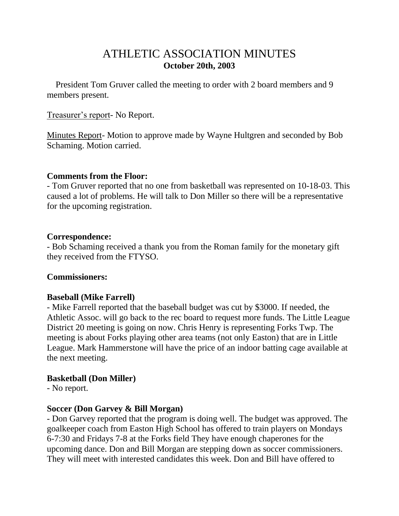# ATHLETIC ASSOCIATION MINUTES **October 20th, 2003**

 President Tom Gruver called the meeting to order with 2 board members and 9 members present.

#### Treasurer's report- No Report.

Minutes Report- Motion to approve made by Wayne Hultgren and seconded by Bob Schaming. Motion carried.

#### **Comments from the Floor:**

- Tom Gruver reported that no one from basketball was represented on 10-18-03. This caused a lot of problems. He will talk to Don Miller so there will be a representative for the upcoming registration.

#### **Correspondence:**

- Bob Schaming received a thank you from the Roman family for the monetary gift they received from the FTYSO.

# **Commissioners:**

# **Baseball (Mike Farrell)**

- Mike Farrell reported that the baseball budget was cut by \$3000. If needed, the Athletic Assoc. will go back to the rec board to request more funds. The Little League District 20 meeting is going on now. Chris Henry is representing Forks Twp. The meeting is about Forks playing other area teams (not only Easton) that are in Little League. Mark Hammerstone will have the price of an indoor batting cage available at the next meeting.

# **Basketball (Don Miller)**

- No report.

# **Soccer (Don Garvey & Bill Morgan)**

- Don Garvey reported that the program is doing well. The budget was approved. The goalkeeper coach from Easton High School has offered to train players on Mondays 6-7:30 and Fridays 7-8 at the Forks field They have enough chaperones for the upcoming dance. Don and Bill Morgan are stepping down as soccer commissioners. They will meet with interested candidates this week. Don and Bill have offered to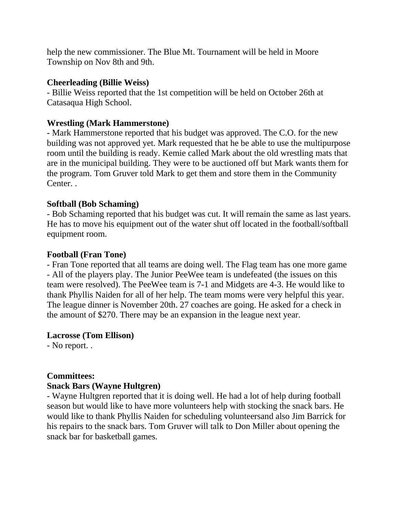help the new commissioner. The Blue Mt. Tournament will be held in Moore Township on Nov 8th and 9th.

#### **Cheerleading (Billie Weiss)**

- Billie Weiss reported that the 1st competition will be held on October 26th at Catasaqua High School.

# **Wrestling (Mark Hammerstone)**

- Mark Hammerstone reported that his budget was approved. The C.O. for the new building was not approved yet. Mark requested that he be able to use the multipurpose room until the building is ready. Kemie called Mark about the old wrestling mats that are in the municipal building. They were to be auctioned off but Mark wants them for the program. Tom Gruver told Mark to get them and store them in the Community Center. .

# **Softball (Bob Schaming)**

- Bob Schaming reported that his budget was cut. It will remain the same as last years. He has to move his equipment out of the water shut off located in the football/softball equipment room.

# **Football (Fran Tone)**

- Fran Tone reported that all teams are doing well. The Flag team has one more game - All of the players play. The Junior PeeWee team is undefeated (the issues on this team were resolved). The PeeWee team is 7-1 and Midgets are 4-3. He would like to thank Phyllis Naiden for all of her help. The team moms were very helpful this year. The league dinner is November 20th. 27 coaches are going. He asked for a check in the amount of \$270. There may be an expansion in the league next year.

# **Lacrosse (Tom Ellison)**

- No report. .

# **Committees:**

# **Snack Bars (Wayne Hultgren)**

- Wayne Hultgren reported that it is doing well. He had a lot of help during football season but would like to have more volunteers help with stocking the snack bars. He would like to thank Phyllis Naiden for scheduling volunteersand also Jim Barrick for his repairs to the snack bars. Tom Gruver will talk to Don Miller about opening the snack bar for basketball games.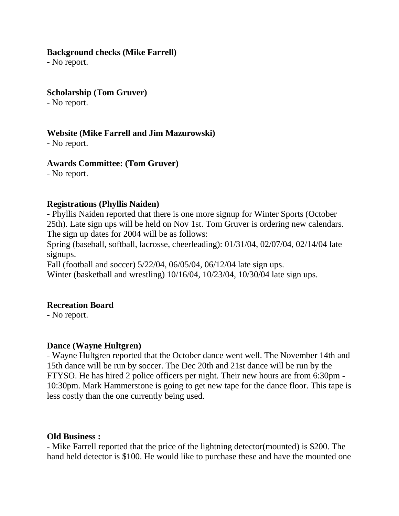#### **Background checks (Mike Farrell)**

- No report.

#### **Scholarship (Tom Gruver)**

- No report.

# **Website (Mike Farrell and Jim Mazurowski)**

- No report.

# **Awards Committee: (Tom Gruver)**

- No report.

#### **Registrations (Phyllis Naiden)**

- Phyllis Naiden reported that there is one more signup for Winter Sports (October 25th). Late sign ups will be held on Nov 1st. Tom Gruver is ordering new calendars. The sign up dates for 2004 will be as follows:

Spring (baseball, softball, lacrosse, cheerleading): 01/31/04, 02/07/04, 02/14/04 late signups.

Fall (football and soccer) 5/22/04, 06/05/04, 06/12/04 late sign ups. Winter (basketball and wrestling) 10/16/04, 10/23/04, 10/30/04 late sign ups.

# **Recreation Board**

- No report.

# **Dance (Wayne Hultgren)**

- Wayne Hultgren reported that the October dance went well. The November 14th and 15th dance will be run by soccer. The Dec 20th and 21st dance will be run by the FTYSO. He has hired 2 police officers per night. Their new hours are from 6:30pm - 10:30pm. Mark Hammerstone is going to get new tape for the dance floor. This tape is less costly than the one currently being used.

# **Old Business :**

- Mike Farrell reported that the price of the lightning detector(mounted) is \$200. The hand held detector is \$100. He would like to purchase these and have the mounted one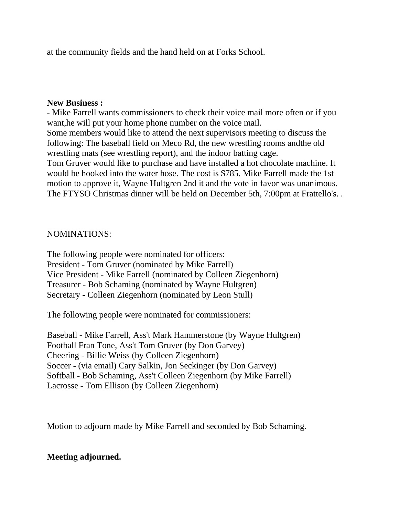at the community fields and the hand held on at Forks School.

#### **New Business :**

- Mike Farrell wants commissioners to check their voice mail more often or if you want,he will put your home phone number on the voice mail. Some members would like to attend the next supervisors meeting to discuss the following: The baseball field on Meco Rd, the new wrestling rooms andthe old wrestling mats (see wrestling report), and the indoor batting cage. Tom Gruver would like to purchase and have installed a hot chocolate machine. It would be hooked into the water hose. The cost is \$785. Mike Farrell made the 1st motion to approve it, Wayne Hultgren 2nd it and the vote in favor was unanimous. The FTYSO Christmas dinner will be held on December 5th, 7:00pm at Frattello's. .

#### NOMINATIONS:

The following people were nominated for officers: President - Tom Gruver (nominated by Mike Farrell) Vice President - Mike Farrell (nominated by Colleen Ziegenhorn) Treasurer - Bob Schaming (nominated by Wayne Hultgren) Secretary - Colleen Ziegenhorn (nominated by Leon Stull)

The following people were nominated for commissioners:

Baseball - Mike Farrell, Ass't Mark Hammerstone (by Wayne Hultgren) Football Fran Tone, Ass't Tom Gruver (by Don Garvey) Cheering - Billie Weiss (by Colleen Ziegenhorn) Soccer - (via email) Cary Salkin, Jon Seckinger (by Don Garvey) Softball - Bob Schaming, Ass't Colleen Ziegenhorn (by Mike Farrell) Lacrosse - Tom Ellison (by Colleen Ziegenhorn)

Motion to adjourn made by Mike Farrell and seconded by Bob Schaming.

# **Meeting adjourned.**